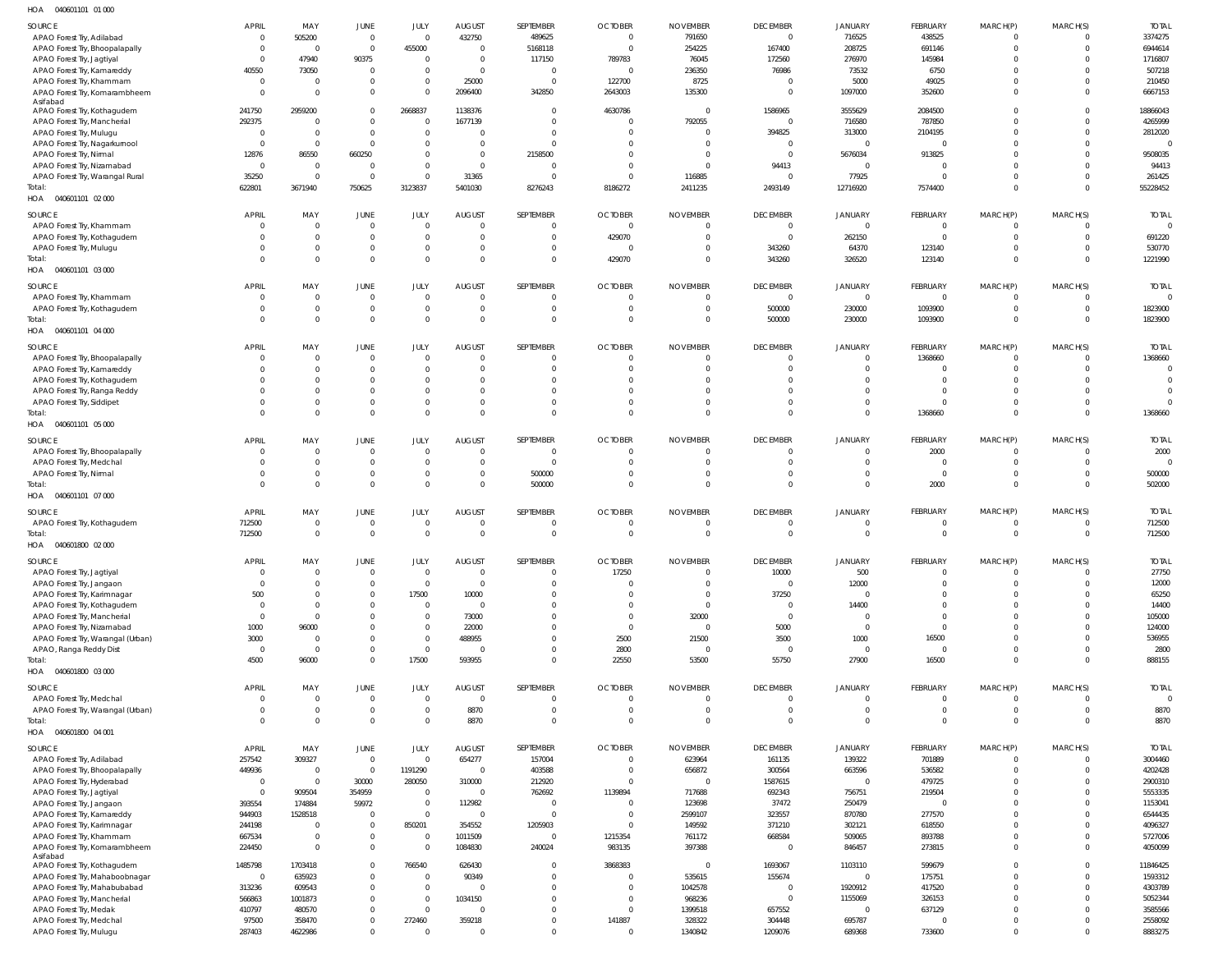040601101 01 000 HOA

|                                                             | APRIL                      | MAY                        | JUNE                         | JULY                             | <b>AUGUST</b>            | SEPTEMBER                        | <b>OCTOBER</b>                     | <b>NOVEMBER</b>                   | <b>DECEMBER</b>               | <b>JANUARY</b>          | <b>FEBRUARY</b>            | MARCH(P)                         | MARCH(S)             | <b>TOTAL</b>             |
|-------------------------------------------------------------|----------------------------|----------------------------|------------------------------|----------------------------------|--------------------------|----------------------------------|------------------------------------|-----------------------------------|-------------------------------|-------------------------|----------------------------|----------------------------------|----------------------|--------------------------|
| SOURCE<br>APAO Forest Try, Adilabad                         | $\overline{0}$             | 505200                     | $\overline{0}$               | $\overline{0}$                   | 432750                   | 489625                           | $\overline{0}$                     | 791650                            | $\overline{0}$                | 716525                  | 438525                     | $\overline{0}$                   |                      | 3374275                  |
| APAO Forest Try, Bhoopalapally                              | $\Omega$                   | $\overline{\mathbf{0}}$    | $\overline{0}$               | 455000                           | $\overline{0}$           | 5168118                          | $\overline{0}$                     | 254225                            | 167400                        | 208725                  | 691146                     | $\overline{0}$                   | $\Omega$             | 6944614                  |
| APAO Forest Try, Jagtiyal                                   | $\Omega$                   | 47940                      | 90375                        | $\overline{0}$                   | $\overline{0}$           | 117150                           | 789783                             | 76045                             | 172560                        | 276970                  | 145984                     | $\overline{0}$                   |                      | 1716807                  |
| APAO Forest Try, Kamareddy                                  | 40550                      | 73050                      | $\mathbf 0$                  | $\overline{0}$                   | $\mathbf{0}$             | $\overline{0}$                   | $\overline{0}$                     | 236350                            | 76986                         | 73532                   | 6750                       | $\overline{0}$                   |                      | 507218                   |
| APAO Forest Try, Khammam                                    | - 0                        | $\overline{0}$             | $\mathbf 0$                  | $\overline{0}$                   | 25000                    | $\overline{\mathbf{0}}$          | 122700                             | 8725                              | $\Omega$                      | 5000                    | 49025                      | $\overline{0}$                   |                      | 210450                   |
| APAO Forest Try, Komarambheem                               | - 0                        | $\Omega$                   | $\mathbf 0$                  | $\overline{0}$                   | 2096400                  | 342850                           | 2643003                            | 135300                            | $\mathbf 0$                   | 1097000                 | 352600                     | $\overline{0}$                   |                      | 6667153                  |
| Asifabad<br>APAO Forest Try, Kothagudem                     | 241750                     | 2959200                    | $\mathbb O$                  | 2668837                          | 1138376                  | $\overline{0}$                   | 4630786                            | $\overline{0}$                    | 1586965                       | 3555629                 | 2084500                    | $\overline{0}$                   |                      | 18866043                 |
| APAO Forest Try, Mancherial                                 | 292375                     | $\Omega$                   | $\mathbf 0$                  | $\overline{0}$                   | 1677139                  | $\overline{0}$                   | $\overline{0}$                     | 792055                            | $\mathbf 0$                   | 716580                  | 787850                     | $\Omega$                         |                      | 4265999                  |
| APAO Forest Try, Mulugu                                     | C                          | $\overline{0}$             | $\mathbf 0$                  | $\mathbf{0}$                     | $\Omega$                 | $\overline{0}$                   | $\overline{0}$                     | $\overline{0}$                    | 394825                        | 313000                  | 2104195                    | $\overline{0}$                   | $\Omega$             | 2812020                  |
| APAO Forest Try, Nagarkurnool                               | C                          | $\overline{0}$             | $\mathbf{0}$                 | $\overline{0}$                   | $\Omega$                 | $\overline{0}$                   | $\overline{0}$                     | $\overline{0}$                    | $\mathbf{0}$                  | $\overline{0}$          | $\Omega$                   | $\Omega$                         |                      | $\overline{\phantom{0}}$ |
| APAO Forest Try, Nirmal                                     | 12876                      | 86550                      | 660250                       | $\mathbf{0}$                     | $\mathbf{0}$             | 2158500                          | $\overline{0}$                     | $\overline{0}$                    | $\overline{0}$                | 5676034                 | 913825                     | $\overline{0}$                   |                      | 9508035                  |
| APAO Forest Try, Nizamabad                                  | C                          | $\overline{0}$             | $\overline{0}$               | $\overline{0}$                   | $\mathbf 0$              | $\overline{0}$                   | $\overline{0}$                     | $\overline{0}$                    | 94413                         | $\overline{0}$          | $\Omega$                   | $\overline{0}$                   |                      | 94413                    |
| APAO Forest Try, Warangal Rural                             | 35250                      | $\Omega$                   | $\mathbf{0}$                 | $\overline{0}$                   | 31365                    | $\overline{0}$                   | $\overline{0}$                     | 116885                            | $\Omega$                      | 77925                   | $\Omega$                   | $\Omega$<br>$\overline{0}$       | $\Omega$<br>$\Omega$ | 261425                   |
| Total:<br>HOA  040601101  02  000                           | 622801                     | 3671940                    | 750625                       | 3123837                          | 5401030                  | 8276243                          | 8186272                            | 2411235                           | 2493149                       | 12716920                | 7574400                    |                                  |                      | 55228452                 |
|                                                             |                            |                            |                              |                                  |                          |                                  |                                    |                                   |                               |                         |                            |                                  |                      |                          |
| SOURCE                                                      | APRIL                      | MAY                        | JUNE                         | JULY                             | <b>AUGUST</b>            | SEPTEMBER                        | <b>OCTOBER</b>                     | <b>NOVEMBER</b>                   | <b>DECEMBER</b>               | <b>JANUARY</b>          | FEBRUARY                   | MARCH(P)                         | MARCH(S)             | <b>TOTAL</b>             |
| APAO Forest Try, Khammam                                    | $\overline{0}$             | $\Omega$<br>$\overline{0}$ | $\mathbf 0$<br>$\mathbf{0}$  | $\overline{0}$<br>$\overline{0}$ | $\Omega$<br>$\mathbf{0}$ | $\overline{0}$<br>$\overline{0}$ | $\overline{\phantom{0}}$<br>429070 | $\overline{0}$<br>$\overline{0}$  | $^{\circ}$<br>$\Omega$        | $\mathbf{0}$<br>262150  | $\overline{0}$<br>$\Omega$ | $\overline{0}$<br>$\overline{0}$ | $\Omega$<br>$\Omega$ | $\overline{0}$<br>691220 |
| APAO Forest Try, Kothagudem<br>APAO Forest Try, Mulugu      |                            | $\mathbf{0}$               | $\mathbf 0$                  | $\overline{0}$                   | $\mathbf{0}$             | $\overline{0}$                   | $\overline{0}$                     | $\overline{0}$                    | 343260                        | 64370                   | 123140                     | $\overline{0}$                   | $\Omega$             | 530770                   |
| Total:                                                      |                            | $\Omega$                   | $\mathbf{0}$                 | $\mathbf 0$                      | $\Omega$                 | $\overline{0}$                   | 429070                             | $\overline{0}$                    | 343260                        | 326520                  | 123140                     | $\Omega$                         | $\Omega$             | 1221990                  |
| HOA  040601101  03  000                                     |                            |                            |                              |                                  |                          |                                  |                                    |                                   |                               |                         |                            |                                  |                      |                          |
| SOURCE                                                      | APRIL                      | MAY                        | JUNE                         | JULY                             | <b>AUGUST</b>            | SEPTEMBER                        | <b>OCTOBER</b>                     | <b>NOVEMBER</b>                   | <b>DECEMBER</b>               | JANUARY                 | <b>FEBRUARY</b>            | MARCH(P)                         | MARCH(S)             | <b>TOTAL</b>             |
| APAO Forest Try, Khammam                                    | $\overline{0}$             | $\overline{0}$             | $\overline{0}$               | $\mathbf{0}$                     | $\mathbf 0$              | $\overline{0}$                   | $\overline{0}$                     | $\overline{0}$                    | $\overline{0}$                | $\overline{0}$          | $\overline{0}$             | $\overline{0}$                   | $\Omega$             | $\overline{0}$           |
| APAO Forest Try, Kothagudem                                 |                            | $\overline{0}$             | $\mathbf 0$                  | $\overline{0}$                   | $\mathbf 0$              | $\overline{0}$                   | $\overline{0}$                     | $\overline{0}$                    | 500000                        | 230000                  | 1093900                    | $\overline{0}$                   | $\Omega$             | 1823900                  |
| Total:                                                      |                            | $\Omega$                   | $\mathbf 0$                  | $\mathbf 0$                      | $\mathbf{0}$             | $\overline{0}$                   | $\overline{0}$                     | $\overline{0}$                    | 500000                        | 230000                  | 1093900                    | $\overline{0}$                   | $\mathbf{0}$         | 1823900                  |
| HOA  040601101  04  000                                     |                            |                            |                              |                                  |                          |                                  |                                    |                                   |                               |                         |                            |                                  |                      |                          |
| SOURCE                                                      | APRIL                      | MAY                        | JUNE                         | JULY                             | <b>AUGUST</b>            | SEPTEMBER                        | <b>OCTOBER</b>                     | <b>NOVEMBER</b>                   | <b>DECEMBER</b>               | JANUARY                 | FEBRUARY                   | MARCH(P)                         | MARCH(S)             | <b>TOTAL</b>             |
| APAO Forest Try, Bhoopalapally                              | $\overline{0}$             | $\mathbf{0}$               | $\mathbf 0$                  | $\overline{0}$                   | $\Omega$                 | $\overline{0}$                   | $\overline{0}$                     | $\overline{0}$                    | $^{\circ}$                    | $\mathbf{0}$            | 1368660                    | $\overline{0}$                   | $\Omega$             | 1368660                  |
| APAO Forest Try, Kamareddy                                  |                            | $\Omega$                   | $\mathbf 0$                  | $\overline{0}$                   | $\Omega$                 | $\overline{0}$                   | $\overline{0}$                     | $\overline{0}$                    | $\Omega$                      | $\Omega$                | $\Omega$                   | $\overline{0}$                   | $\Omega$             | $\overline{0}$           |
| APAO Forest Try, Kothagudem                                 |                            | $\Omega$                   | $\mathbf{0}$                 | $\mathbf 0$                      | $\Omega$                 | $\overline{0}$                   | $\Omega$                           | $\Omega$                          | $\Omega$                      | $\Omega$                | $\Omega$                   | $\Omega$                         | $\Omega$             | $\Omega$                 |
| APAO Forest Try, Ranga Reddy                                |                            | $\Omega$                   | $\mathbf 0$                  | $\mathbf 0$                      | $\Omega$                 | $\Omega$                         | $\Omega$                           | $\Omega$                          | $\Omega$                      | $\Omega$                | $\Omega$                   | $\Omega$                         |                      | $\overline{0}$           |
| APAO Forest Try, Siddipet                                   |                            | $\Omega$                   | $\mathbf 0$                  | $\mathbf{0}$                     | $\mathbf{0}$             | $\overline{0}$                   | $\overline{0}$                     | $\overline{0}$                    | $\mathbf{0}$                  | $\mathbf{0}$            | $\Omega$                   | $\overline{0}$                   | $\Omega$             | $\Omega$                 |
| Total:                                                      |                            | $\Omega$                   | $\mathbf{0}$                 | $\mathbf 0$                      | $\Omega$                 | $\Omega$                         | $\Omega$                           | $\Omega$                          | $\Omega$                      | $\Omega$                | 1368660                    | $\Omega$                         | $\Omega$             | 1368660                  |
| HOA  040601101  05  000                                     |                            |                            |                              |                                  |                          |                                  |                                    |                                   |                               |                         |                            |                                  |                      |                          |
| SOURCE                                                      | APRIL                      | MAY                        | JUNE                         | JULY                             | <b>AUGUST</b>            | SEPTEMBER                        | <b>OCTOBER</b>                     | <b>NOVEMBER</b>                   | <b>DECEMBER</b>               | JANUARY                 | FEBRUARY                   | MARCH(P)                         | MARCH(S)             | <b>TOTAL</b>             |
| APAO Forest Try, Bhoopalapally                              | - 0                        | $\overline{0}$             | $\mathbf 0$                  | $\mathbf{0}$                     | $\Omega$                 | $\overline{0}$                   | $\overline{0}$                     | $\overline{0}$                    | $\Omega$                      | $\mathbf{0}$            | 2000                       | $\overline{0}$                   | $\Omega$             | 2000                     |
| APAO Forest Try, Medchal                                    |                            | $\overline{0}$             | $\overline{0}$               | $\overline{0}$                   | $\mathbf{0}$             | $\overline{0}$                   | $\overline{0}$                     | $\overline{0}$                    | $\Omega$                      | $\mathbf{0}$            | $\Omega$                   | $\overline{0}$                   | $\Omega$             | $\overline{0}$           |
| APAO Forest Try, Nirmal                                     |                            | $\mathbf{0}$               | $\mathbf 0$                  | $\mathbf{0}$                     | $\Omega$                 | 500000                           | $\overline{0}$                     | $\overline{0}$                    | $\Omega$                      | $\mathbf{0}$            | $\overline{0}$             | $\overline{0}$                   | $\Omega$             | 500000                   |
| Total:<br>HOA  040601101  07  000                           |                            | $\Omega$                   | $\mathbf 0$                  | $\mathbf{0}$                     | $\Omega$                 | 500000                           | $\Omega$                           | $\overline{0}$                    | $\Omega$                      | $\mathbf{0}$            | 2000                       | $\overline{0}$                   | $\Omega$             | 502000                   |
|                                                             |                            |                            |                              |                                  |                          |                                  |                                    |                                   |                               |                         |                            |                                  |                      |                          |
| SOURCE                                                      | <b>APRIL</b>               | MAY                        | JUNE                         | JULY                             | <b>AUGUST</b>            | SEPTEMBER                        | <b>OCTOBER</b>                     | <b>NOVEMBER</b>                   | <b>DECEMBER</b>               | <b>JANUARY</b>          | <b>FEBRUARY</b>            | MARCH(P)                         | MARCH(S)             | <b>TOTAL</b>             |
| APAO Forest Try, Kothagudem                                 | 712500                     | $\overline{0}$             | $\mathbf{0}$                 | $\overline{0}$                   | $\Omega$                 | $\overline{0}$                   | $\overline{0}$                     | $\overline{0}$                    | $\Omega$                      | $\Omega$                | $\Omega$                   | $\overline{0}$                   | $\Omega$             | 712500                   |
| Total:<br>HOA  040601800  02  000                           |                            |                            |                              |                                  |                          |                                  |                                    |                                   |                               |                         |                            |                                  |                      |                          |
|                                                             | 712500                     | $\Omega$                   | $\mathbf 0$                  | $\Omega$                         | $\Omega$                 | $\overline{0}$                   | $\overline{0}$                     | $\overline{0}$                    | $\overline{0}$                | $\overline{0}$          | $\overline{0}$             | $\overline{0}$                   | $\overline{0}$       | 712500                   |
|                                                             |                            |                            |                              |                                  |                          |                                  |                                    |                                   |                               |                         |                            |                                  |                      |                          |
| SOURCE                                                      | <b>APRIL</b>               | MAY                        | <b>JUNE</b>                  |                                  | <b>AUGUST</b>            | <b>SEPTEMBER</b>                 | <b>OCTOBER</b>                     | <b>NOVEMBER</b>                   | <b>DECEMBER</b>               | JANUARY                 | <b>FEBRUARY</b>            | MARCH(P)                         | MARCH(S)             | <b>TOTAL</b>             |
| APAO Forest Try, Jagtiyal                                   |                            | $\Omega$                   | $\mathbf{0}$                 | $\overline{0}$                   | $\Omega$                 | $\overline{0}$                   | 17250                              | $\overline{0}$                    | 10000                         | 500                     | $\Omega$                   | $\circ$                          |                      | 27750                    |
| APAO Forest Try, Jangaon                                    |                            | $\Omega$                   | $\mathbf{0}$                 | $\overline{0}$                   | $\mathbf 0$              | $\overline{0}$                   | $\overline{0}$                     | $\overline{0}$                    | $\overline{0}$                | 12000                   | $\Omega$                   | $\overline{0}$                   |                      | 12000                    |
| APAO Forest Try, Karimnagar                                 | 500                        | 0<br>$\Omega$              | $\mathbf{0}$                 | 17500                            | 10000                    | $\overline{0}$                   | $\overline{0}$                     | $\overline{0}$                    | 37250                         | $\mathbf 0$             | $\Omega$<br>$\Omega$       | $\Omega$                         |                      | 65250                    |
| APAO Forest Try, Kothagudem                                 | $\overline{0}$<br>$\Omega$ | $\Omega$                   | $\mathbf{0}$<br>$\mathbf{0}$ | $\mathbf{0}$<br>$\mathbf{0}$     | $\overline{0}$           | $\overline{0}$<br>$\overline{0}$ | $\overline{0}$<br>$\overline{0}$   | $\overline{0}$                    | $\mathbf 0$<br>$\overline{0}$ | 14400<br>$\overline{0}$ | $\Omega$                   | $\overline{0}$<br>$\Omega$       |                      | 14400<br>105000          |
| APAO Forest Try, Mancherial<br>APAO Forest Try, Nizamabad   | 1000                       | 96000                      | $\mathbf 0$                  | $\overline{0}$                   | 73000<br>22000           | $\overline{0}$                   | $\overline{0}$                     | 32000<br>$\overline{\phantom{0}}$ | 5000                          | $\overline{0}$          | $\Omega$                   | $\overline{0}$                   |                      | 124000                   |
| APAO Forest Try, Warangal (Urban)                           | 3000                       | 0                          | $\mathbf{0}$                 | $\overline{0}$                   | 488955                   | $\overline{0}$                   | 2500                               | 21500                             | 3500                          | 1000                    | 16500                      | $\overline{0}$                   |                      | 536955                   |
| APAO, Ranga Reddy Dist                                      | $\overline{0}$             | $\Omega$                   | $\mathbf 0$                  | $\overline{0}$                   | $\overline{0}$           | $\overline{0}$                   | 2800                               | $\overline{0}$                    | $\overline{0}$                | $\overline{0}$          | $\mathbf{0}$               | $\overline{0}$                   |                      | 2800                     |
| Total:                                                      | 4500                       | 96000                      | $\mathbf 0$                  | 17500                            | 593955                   | $\overline{0}$                   | 22550                              | 53500                             | 55750                         | 27900                   | 16500                      | $\overline{0}$                   | $\Omega$             | 888155                   |
| HOA  040601800  03  000                                     |                            |                            |                              |                                  |                          |                                  |                                    |                                   |                               |                         |                            |                                  |                      |                          |
| SOURCE                                                      | APRIL                      | MAY                        | JUNE                         | JULY                             | <b>AUGUST</b>            | SEPTEMBER                        | <b>OCTOBER</b>                     | <b>NOVEMBER</b>                   | <b>DECEMBER</b>               | <b>JANUARY</b>          | FEBRUARY                   | MARCH(P)                         | MARCH(S)             | <b>TOTAL</b>             |
| APAO Forest Try, Medchal                                    | $\mathbf{0}$               | $\mathbf{0}$               | $\mathbf 0$                  | $\overline{0}$                   | $\mathbf{0}$             | $\overline{0}$                   | $\overline{0}$                     | $\overline{0}$                    | $\Omega$                      | $\Omega$                | $\Omega$                   | $\overline{0}$                   |                      | $\overline{\phantom{0}}$ |
| APAO Forest Try, Warangal (Urban)                           |                            | $\mathbf{0}$               | $\mathbf 0$                  | $\mathbf 0$                      | 8870                     | $\overline{0}$                   | $\overline{0}$                     | $\overline{0}$                    | $\mathbf{0}$                  | $\mathbf{0}$            | $\mathbf{0}$               | $\overline{0}$                   | $\Omega$             | 8870                     |
| Total:                                                      | $\Omega$                   | $\Omega$                   | $\mathbf 0$                  | $\mathbf 0$                      | 8870                     | $\overline{0}$                   | $\overline{0}$                     | $\overline{0}$                    | $\Omega$                      | $\Omega$                | $\Omega$                   | $\overline{0}$                   | $\Omega$             | 8870                     |
| HOA  040601800  04  001                                     |                            |                            |                              |                                  |                          |                                  |                                    |                                   |                               |                         |                            |                                  |                      |                          |
| SOURCE                                                      | APRIL                      | MAY                        | JUNE                         | JULY                             | <b>AUGUST</b>            | SEPTEMBER                        | <b>OCTOBER</b>                     | <b>NOVEMBER</b>                   | <b>DECEMBER</b>               | JANUARY                 | FEBRUARY                   | MARCH(P)                         | MARCH(S)             | <b>TOTAL</b>             |
| APAO Forest Try, Adilabad                                   | 257542                     | 309327                     | $\overline{0}$               | $\mathbf{0}$                     | 654277                   | 157004                           | $\overline{\phantom{0}}$           | 623964                            | 161135                        | 139322                  | 701889                     | $\overline{0}$                   |                      | 3004460                  |
| APAO Forest Try, Bhoopalapally                              | 449936                     | $\overline{0}$             | $\overline{0}$               | 1191290                          | $\overline{0}$           | 403588                           | $\overline{0}$                     | 656872                            | 300564                        | 663596                  | 536582                     | $\overline{0}$                   |                      | 4202428                  |
| APAO Forest Try, Hyderabad                                  | C                          | $\Omega$                   | 30000                        | 280050                           | 310000                   | 212920                           | $\overline{0}$                     | $\overline{0}$                    | 1587615                       | $\mathbf 0$             | 479725                     | $\overline{0}$                   |                      | 2900310                  |
| APAO Forest Try, Jagtiyal                                   | C                          | 909504                     | 354959                       | $\overline{0}$                   | $\overline{0}$           | 762692                           | 1139894                            | 717688                            | 692343                        | 756751                  | 219504                     | $\overline{0}$                   |                      | 5553335                  |
| APAO Forest Try, Jangaon                                    | 393554                     | 174884                     | 59972<br>$\overline{0}$      | $\mathbf{0}$<br>$\overline{0}$   | 112982<br>$\mathbf{0}$   | $\overline{0}$<br>$\overline{0}$ | $\overline{0}$<br>$\overline{0}$   | 123698                            | 37472                         | 250479                  | $\Omega$                   | $\Omega$<br>$\Omega$             |                      | 1153041<br>6544435       |
| APAO Forest Try, Kamareddy<br>APAO Forest Try, Karimnagar   | 944903<br>244198           | 1528518<br>$\Omega$        | $\mathbf 0$                  | 850201                           | 354552                   | 1205903                          | $\overline{0}$                     | 2599107<br>149592                 | 323557<br>371210              | 870780<br>302121        | 277570<br>618550           | $\Omega$                         |                      | 4096327                  |
| APAO Forest Try, Khammam                                    | 667534                     | $\Omega$                   | $\mathbf 0$                  | $\overline{0}$                   | 1011509                  | $\overline{0}$                   | 1215354                            | 761172                            | 668584                        | 509065                  | 893788                     | $\overline{0}$                   |                      | 5727006                  |
| APAO Forest Try, Komarambheem                               | 224450                     | $\mathbf{0}$               | $\mathbf 0$                  | $\mathbf{0}$                     | 1084830                  | 240024                           | 983135                             | 397388                            | $\overline{0}$                | 846457                  | 273815                     | $\overline{0}$                   | $\Omega$             | 4050099                  |
| Asifabad                                                    |                            |                            |                              |                                  |                          |                                  |                                    |                                   |                               |                         |                            |                                  |                      |                          |
| APAO Forest Try, Kothagudem                                 | 1485798                    | 1703418                    | $\mathbb O$                  | 766540                           | 626430                   | $\overline{0}$                   | 3868383                            | $\overline{\phantom{0}}$          | 1693067                       | 1103110                 | 599679                     | $\overline{0}$                   |                      | 11846425                 |
| APAO Forest Try, Mahaboobnagar                              | C                          | 635923                     | $\mathbf{0}$<br>$\mathbf 0$  | $\overline{0}$<br>$\mathbf{0}$   | 90349<br>$\Omega$        | $\overline{0}$<br>$\overline{0}$ | $\overline{0}$<br>$\overline{0}$   | 535615                            | 155674<br>$\mathbf{0}$        | $\mathbf 0$             | 175751                     | $\overline{0}$<br>$\overline{0}$ |                      | 1593312                  |
| APAO Forest Try, Mahabubabad<br>APAO Forest Try, Mancherial | 313236<br>566863           | 609543<br>1001873          | $\mathbf{0}$                 | $\overline{0}$                   | 1034150                  | $\overline{0}$                   | $\overline{0}$                     | 1042578<br>968236                 | $\overline{0}$                | 1920912<br>1155069      | 417520<br>326153           | $\Omega$                         |                      | 4303789<br>5052344       |
| APAO Forest Try, Medak                                      | 410797                     | 480570                     | $\mathbf{0}$                 | $\overline{0}$                   | $\Omega$                 | $\overline{0}$                   | $\overline{0}$                     | 1399518                           | 657552                        | $\overline{0}$          | 637129                     | $\overline{0}$                   |                      | 3585566                  |
| APAO Forest Try, Medchal<br>APAO Forest Try, Mulugu         | 97500<br>287403            | 358470<br>4622986          | $\mathbf{0}$<br>$\mathbf{0}$ | 272460<br>$\mathbf{0}$           | 359218<br>$\Omega$       | $\overline{0}$<br>$\overline{0}$ | 141887<br>$\overline{0}$           | 328322<br>1340842                 | 304448<br>1209076             | 695787<br>689368        | $\overline{0}$<br>733600   | $\overline{0}$<br>$\overline{0}$ | 0                    | 2558092<br>8883275       |